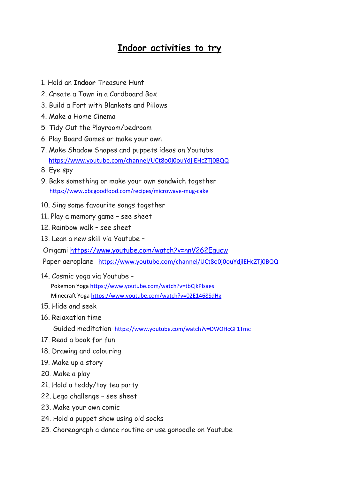## **Indoor activities to try**

- 1. Hold an **Indoor** Treasure Hunt
- 2. Create a Town in a Cardboard Box
- 3. Build a Fort with Blankets and Pillows
- 4. Make a Home Cinema
- 5. Tidy Out the Playroom/bedroom
- 6. Play Board Games or make your own
- 7. Make Shadow Shapes and puppets ideas on Youtube <https://www.youtube.com/channel/UCt8o0j0ouYdjlEHcZTj0BQQ>
- 8. Eye spy
- 9. Bake something or make your own sandwich together <https://www.bbcgoodfood.com/recipes/microwave-mug-cake>
- 10. Sing some favourite songs together
- 11. Play a memory game see sheet
- 12. Rainbow walk see sheet
- 13. Lean a new skill via Youtube –

Origami<https://www.youtube.com/watch?v=nnV262Egucw>

Paper aeroplane <https://www.youtube.com/channel/UCt8o0j0ouYdjlEHcZTj0BQQ>

- 14. Cosmic yoga via Youtube Pokemon Yoga<https://www.youtube.com/watch?v=tbCjkPlsaes> Minecraft Yoga<https://www.youtube.com/watch?v=02E1468SdHg>
- 15. Hide and seek
- 16. Relaxation time

Guided meditation <https://www.youtube.com/watch?v=DWOHcGF1Tmc>

- 17. Read a book for fun
- 18. Drawing and colouring
- 19. Make up a story
- 20. Make a play
- 21. Hold a teddy/toy tea party
- 22. Lego challenge see sheet
- 23. Make your own comic
- 24. Hold a puppet show using old socks
- 25. Choreograph a dance routine or use gonoodle on Youtube